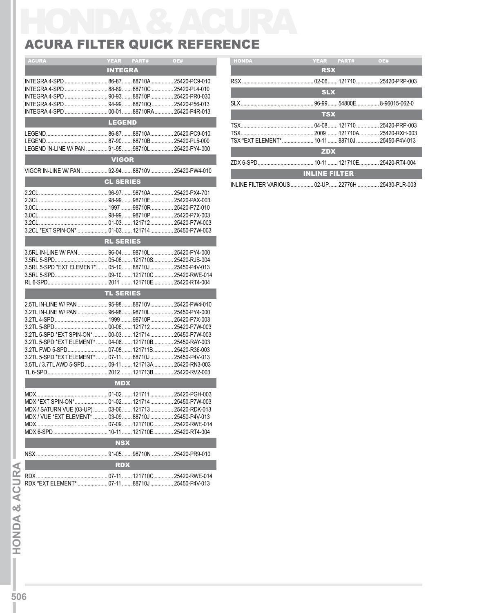## HONDA & ACURA ACURA FILTER QUICK REFERENCE

| <b>ACURA</b>                                                        | <b>YEAR</b>      | PART# | OE#           | <b>HONDA</b> | YEAR PART#                                | <b>OE#</b> |
|---------------------------------------------------------------------|------------------|-------|---------------|--------------|-------------------------------------------|------------|
|                                                                     | <b>INTEGRA</b>   |       |               |              | <b>RSX</b>                                |            |
|                                                                     |                  |       |               |              |                                           |            |
|                                                                     |                  |       |               |              |                                           |            |
|                                                                     |                  |       |               |              | <b>SLX</b>                                |            |
|                                                                     |                  |       |               |              |                                           |            |
|                                                                     |                  |       |               |              | <b>TSX</b>                                |            |
|                                                                     | <b>LEGEND</b>    |       |               |              |                                           |            |
|                                                                     |                  |       |               |              |                                           |            |
|                                                                     |                  |       |               |              |                                           |            |
|                                                                     |                  |       |               |              | TSX *EXT ELEMENT* 10-11  88710J  254      |            |
| LEGEND IN-LINE W/ PAN  91-95 98710L  25420-PY4-000                  |                  |       |               |              | <b>ZDX</b>                                |            |
|                                                                     | <b>VIGOR</b>     |       |               |              |                                           |            |
| VIGOR IN-LINE W/ PAN 92-94 88710V 25420-PW4-010                     |                  |       |               |              | <b>INLINE FILTER</b>                      |            |
|                                                                     | <b>CL SERIES</b> |       |               |              |                                           |            |
|                                                                     |                  |       |               |              | INLINE FILTER VARIOUS  02-UP  22776H  254 |            |
|                                                                     |                  |       |               |              |                                           |            |
|                                                                     |                  |       | 25420-PAX-003 |              |                                           |            |
|                                                                     |                  |       |               |              |                                           |            |
|                                                                     |                  |       |               |              |                                           |            |
|                                                                     |                  |       |               |              |                                           |            |
| 3.2CL *EXT SPIN-ON*  01-03 121714 25450-P7W-003                     |                  |       |               |              |                                           |            |
| <b>RL SERIES</b><br>3.5RL IN-LINE W/ PAN 96-04 98710L 25420-PY4-000 |                  |       |               |              |                                           |            |
|                                                                     |                  |       |               |              |                                           |            |
|                                                                     |                  |       |               |              |                                           |            |
| 3.5RL 5-SPD *EXT ELEMENT* 05-10 88710J 25450-P4V-013                |                  |       |               |              |                                           |            |
|                                                                     |                  |       |               |              |                                           |            |
|                                                                     |                  |       |               |              |                                           |            |
|                                                                     | <b>TL SERIES</b> |       |               |              |                                           |            |
| 2.5TL IN-LINE W/ PAN  95-98 88710V 25420-PW4-010                    |                  |       |               |              |                                           |            |
| 3.2TL IN-LINE W/ PAN  96-98 98710L  25450-PY4-000                   |                  |       |               |              |                                           |            |
|                                                                     |                  |       |               |              |                                           |            |
|                                                                     |                  |       |               |              |                                           |            |
| 3.2TL 5-SPD *EXT SPIN-ON*  00-03 121714  25450-P7W-003              |                  |       |               |              |                                           |            |
| 3.2TL 5-SPD *EXT ELEMENT*  04-06 121710B 25450-RAY-003              |                  |       |               |              |                                           |            |
| 3.2TL FWD 5-SPD 07-08 121711B 25420-R36-003                         |                  |       |               |              |                                           |            |
| 3.2TL 5-SPD *EXT ELEMENT*  07-11  88710J  25450-P4V-013             |                  |       |               |              |                                           |            |
| 3.5TL / 3.7TL AWD 5-SPD 09-11  121713A 25420-RN3-003                |                  |       |               |              |                                           |            |
|                                                                     |                  |       |               |              |                                           |            |
|                                                                     | <b>MDX</b>       |       |               |              |                                           |            |
|                                                                     |                  |       |               |              |                                           |            |
| MDX *EXT SPIN-ON*  01-02  121714  25450-P7W-003                     |                  |       |               |              |                                           |            |
|                                                                     |                  |       |               |              |                                           |            |
| MDX / SATURN VUE (03-UP)  03-06  121713  25420-RDK-013              |                  |       |               |              |                                           |            |
| MDX / VUE *EXT ELEMENT*  03-09  88710J  25450-P4V-013               |                  |       |               |              |                                           |            |
|                                                                     |                  |       |               |              |                                           |            |
|                                                                     |                  |       | 25420-RT4-004 |              |                                           |            |
|                                                                     | <b>NSX</b>       |       |               |              |                                           |            |
|                                                                     |                  |       | 25420-PR9-010 |              |                                           |            |
|                                                                     | <b>RDX</b>       |       |               |              |                                           |            |
|                                                                     |                  |       |               |              |                                           |            |
|                                                                     |                  |       |               |              |                                           |            |

| <b>HONDA</b>                                      | YEAR PART# |  | <b>OE#</b> |  |  |  |  |  |
|---------------------------------------------------|------------|--|------------|--|--|--|--|--|
| <b>RSX</b>                                        |            |  |            |  |  |  |  |  |
|                                                   |            |  |            |  |  |  |  |  |
|                                                   | <b>SLX</b> |  |            |  |  |  |  |  |
|                                                   |            |  |            |  |  |  |  |  |
| <b>TSX</b>                                        |            |  |            |  |  |  |  |  |
|                                                   |            |  |            |  |  |  |  |  |
| TSX *EXT ELEMENT*  10-11  88710J  25450-P4V-013   |            |  |            |  |  |  |  |  |
| <b>ZDX</b>                                        |            |  |            |  |  |  |  |  |
|                                                   |            |  |            |  |  |  |  |  |
| <b>INLINE FILTER</b>                              |            |  |            |  |  |  |  |  |
| INLINE FILTER VARIOUS 02-UP 22776H  25430-PLR-003 |            |  |            |  |  |  |  |  |